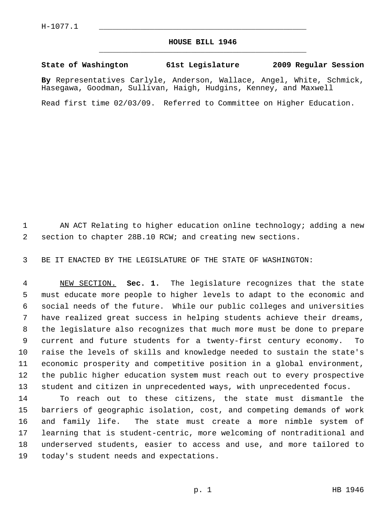## **HOUSE BILL 1946** \_\_\_\_\_\_\_\_\_\_\_\_\_\_\_\_\_\_\_\_\_\_\_\_\_\_\_\_\_\_\_\_\_\_\_\_\_\_\_\_\_\_\_\_\_

## **State of Washington 61st Legislature 2009 Regular Session**

**By** Representatives Carlyle, Anderson, Wallace, Angel, White, Schmick, Hasegawa, Goodman, Sullivan, Haigh, Hudgins, Kenney, and Maxwell

Read first time 02/03/09. Referred to Committee on Higher Education.

1 AN ACT Relating to higher education online technology; adding a new 2 section to chapter 28B.10 RCW; and creating new sections.

3 BE IT ENACTED BY THE LEGISLATURE OF THE STATE OF WASHINGTON:

 4 NEW SECTION. **Sec. 1.** The legislature recognizes that the state 5 must educate more people to higher levels to adapt to the economic and 6 social needs of the future. While our public colleges and universities 7 have realized great success in helping students achieve their dreams, 8 the legislature also recognizes that much more must be done to prepare 9 current and future students for a twenty-first century economy. To 10 raise the levels of skills and knowledge needed to sustain the state's 11 economic prosperity and competitive position in a global environment, 12 the public higher education system must reach out to every prospective 13 student and citizen in unprecedented ways, with unprecedented focus.

14 To reach out to these citizens, the state must dismantle the 15 barriers of geographic isolation, cost, and competing demands of work 16 and family life. The state must create a more nimble system of 17 learning that is student-centric, more welcoming of nontraditional and 18 underserved students, easier to access and use, and more tailored to 19 today's student needs and expectations.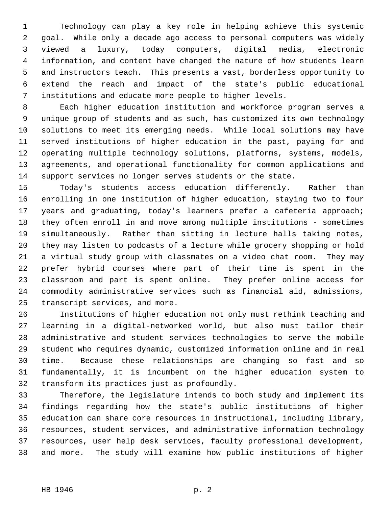1 Technology can play a key role in helping achieve this systemic 2 goal. While only a decade ago access to personal computers was widely 3 viewed a luxury, today computers, digital media, electronic 4 information, and content have changed the nature of how students learn 5 and instructors teach. This presents a vast, borderless opportunity to 6 extend the reach and impact of the state's public educational 7 institutions and educate more people to higher levels.

 8 Each higher education institution and workforce program serves a 9 unique group of students and as such, has customized its own technology 10 solutions to meet its emerging needs. While local solutions may have 11 served institutions of higher education in the past, paying for and 12 operating multiple technology solutions, platforms, systems, models, 13 agreements, and operational functionality for common applications and 14 support services no longer serves students or the state.

15 Today's students access education differently. Rather than 16 enrolling in one institution of higher education, staying two to four 17 years and graduating, today's learners prefer a cafeteria approach; 18 they often enroll in and move among multiple institutions - sometimes 19 simultaneously. Rather than sitting in lecture halls taking notes, 20 they may listen to podcasts of a lecture while grocery shopping or hold 21 a virtual study group with classmates on a video chat room. They may 22 prefer hybrid courses where part of their time is spent in the 23 classroom and part is spent online. They prefer online access for 24 commodity administrative services such as financial aid, admissions, 25 transcript services, and more.

26 Institutions of higher education not only must rethink teaching and 27 learning in a digital-networked world, but also must tailor their 28 administrative and student services technologies to serve the mobile 29 student who requires dynamic, customized information online and in real 30 time. Because these relationships are changing so fast and so 31 fundamentally, it is incumbent on the higher education system to 32 transform its practices just as profoundly.

33 Therefore, the legislature intends to both study and implement its 34 findings regarding how the state's public institutions of higher 35 education can share core resources in instructional, including library, 36 resources, student services, and administrative information technology 37 resources, user help desk services, faculty professional development, 38 and more. The study will examine how public institutions of higher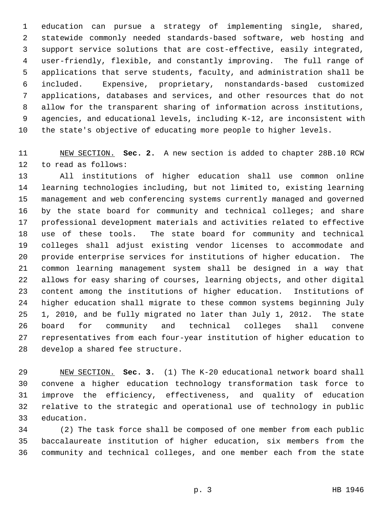1 education can pursue a strategy of implementing single, shared, 2 statewide commonly needed standards-based software, web hosting and 3 support service solutions that are cost-effective, easily integrated, 4 user-friendly, flexible, and constantly improving. The full range of 5 applications that serve students, faculty, and administration shall be 6 included. Expensive, proprietary, nonstandards-based customized 7 applications, databases and services, and other resources that do not 8 allow for the transparent sharing of information across institutions, 9 agencies, and educational levels, including K-12, are inconsistent with 10 the state's objective of educating more people to higher levels.

11 NEW SECTION. **Sec. 2.** A new section is added to chapter 28B.10 RCW 12 to read as follows:

13 All institutions of higher education shall use common online 14 learning technologies including, but not limited to, existing learning 15 management and web conferencing systems currently managed and governed 16 by the state board for community and technical colleges; and share 17 professional development materials and activities related to effective 18 use of these tools. The state board for community and technical 19 colleges shall adjust existing vendor licenses to accommodate and 20 provide enterprise services for institutions of higher education. The 21 common learning management system shall be designed in a way that 22 allows for easy sharing of courses, learning objects, and other digital 23 content among the institutions of higher education. Institutions of 24 higher education shall migrate to these common systems beginning July 25 1, 2010, and be fully migrated no later than July 1, 2012. The state 26 board for community and technical colleges shall convene 27 representatives from each four-year institution of higher education to 28 develop a shared fee structure.

29 NEW SECTION. **Sec. 3.** (1) The K-20 educational network board shall 30 convene a higher education technology transformation task force to 31 improve the efficiency, effectiveness, and quality of education 32 relative to the strategic and operational use of technology in public 33 education.

34 (2) The task force shall be composed of one member from each public 35 baccalaureate institution of higher education, six members from the 36 community and technical colleges, and one member each from the state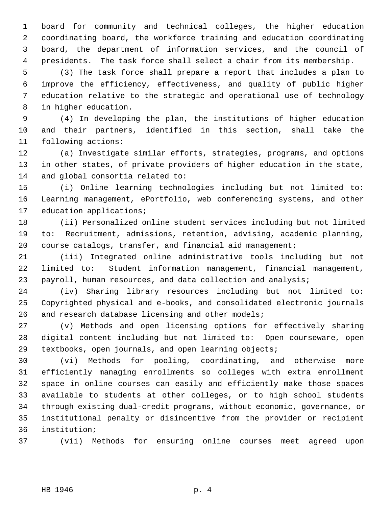1 board for community and technical colleges, the higher education 2 coordinating board, the workforce training and education coordinating 3 board, the department of information services, and the council of 4 presidents. The task force shall select a chair from its membership.

 5 (3) The task force shall prepare a report that includes a plan to 6 improve the efficiency, effectiveness, and quality of public higher 7 education relative to the strategic and operational use of technology 8 in higher education.

 9 (4) In developing the plan, the institutions of higher education 10 and their partners, identified in this section, shall take the 11 following actions:

12 (a) Investigate similar efforts, strategies, programs, and options 13 in other states, of private providers of higher education in the state, 14 and global consortia related to:

15 (i) Online learning technologies including but not limited to: 16 Learning management, ePortfolio, web conferencing systems, and other 17 education applications;

18 (ii) Personalized online student services including but not limited 19 to: Recruitment, admissions, retention, advising, academic planning, 20 course catalogs, transfer, and financial aid management;

21 (iii) Integrated online administrative tools including but not 22 limited to: Student information management, financial management, 23 payroll, human resources, and data collection and analysis;

24 (iv) Sharing library resources including but not limited to: 25 Copyrighted physical and e-books, and consolidated electronic journals 26 and research database licensing and other models;

27 (v) Methods and open licensing options for effectively sharing 28 digital content including but not limited to: Open courseware, open 29 textbooks, open journals, and open learning objects;

30 (vi) Methods for pooling, coordinating, and otherwise more 31 efficiently managing enrollments so colleges with extra enrollment 32 space in online courses can easily and efficiently make those spaces 33 available to students at other colleges, or to high school students 34 through existing dual-credit programs, without economic, governance, or 35 institutional penalty or disincentive from the provider or recipient 36 institution;

37 (vii) Methods for ensuring online courses meet agreed upon